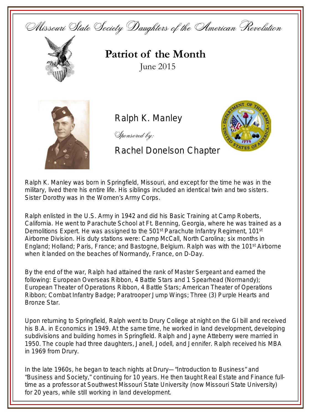



## **Patriot of the Month** June 2015



Ralph K. Manley

Sponsored by:

**SATZ** Emblem

Rachel Donelson Chapter

Ralph K. Manley was born in Springfield, Missouri, and except for the time he was in the military, lived there his entire life. His siblings included an identical twin and two sisters. Sister Dorothy was in the Women's Army Corps.

Ralph enlisted in the U.S. Army in 1942 and did his Basic Training at Camp Roberts, California. He went to Parachute School at Ft. Benning, Georgia, where he was trained as a Demolitions Expert. He was assigned to the  $501<sup>st</sup>$  Parachute Infantry Regiment, 101 $<sup>st</sup>$ </sup> Airborne Division. His duty stations were: Camp McCall, North Carolina; six months in England; Holland; Paris, France; and Bastogne, Belgium. Ralph was with the 101<sup>st</sup> Airborne when it landed on the beaches of Normandy, France, on D-Day.

By the end of the war, Ralph had attained the rank of Master Sergeant and earned the following: European Overseas Ribbon, 4 Battle Stars and 1 Spearhead (Normandy); European Theater of Operations Ribbon, 4 Battle Stars; American Theater of Operations Ribbon; Combat Infantry Badge; Paratrooper Jump Wings; Three (3) Purple Hearts and Bronze Star.

Upon returning to Springfield, Ralph went to Drury College at night on the GI bill and received his B.A. in Economics in 1949. At the same time, he worked in land development, developing subdivisions and building homes in Springfield. Ralph and Jayne Atteberry were married in 1950. The couple had three daughters, Janell, Jodell, and Jennifer. Ralph received his MBA in 1969 from Drury.

In the late 1960s, he began to teach nights at Drury—"Introduction to Business" and "Business and Society," continuing for 10 years. He then taught Real Estate and Finance fulltime as a professor at Southwest Missouri State University (now Missouri State University) for 20 years, while still working in land development.